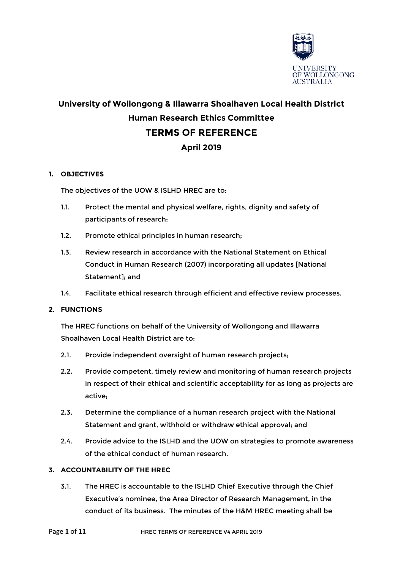

# **University of Wollongong & Illawarra Shoalhaven Local Health District Human Research Ethics Committee TERMS OF REFERENCE April 2019**

#### **1. OBJECTIVES**

The objectives of the UOW & ISLHD HREC are to:

- 1.1. Protect the mental and physical welfare, rights, dignity and safety of participants of research;
- 1.2. Promote ethical principles in human research;
- 1.3. Review research in accordance with the National Statement on Ethical Conduct in Human Research (2007) incorporating all updates [National Statement]; and
- 1.4. Facilitate ethical research through efficient and effective review processes.

#### **2. FUNCTIONS**

The HREC functions on behalf of the University of Wollongong and Illawarra Shoalhaven Local Health District are to:

- 2.1. Provide independent oversight of human research projects;
- 2.2. Provide competent, timely review and monitoring of human research projects in respect of their ethical and scientific acceptability for as long as projects are active;
- 2.3. Determine the compliance of a human research project with the National Statement and grant, withhold or withdraw ethical approval; and
- 2.4. Provide advice to the ISLHD and the UOW on strategies to promote awareness of the ethical conduct of human research.

# **3. ACCOUNTABILITY OF THE HREC**

3.1. The HREC is accountable to the ISLHD Chief Executive through the Chief Executive's nominee, the Area Director of Research Management, in the conduct of its business. The minutes of the H&M HREC meeting shall be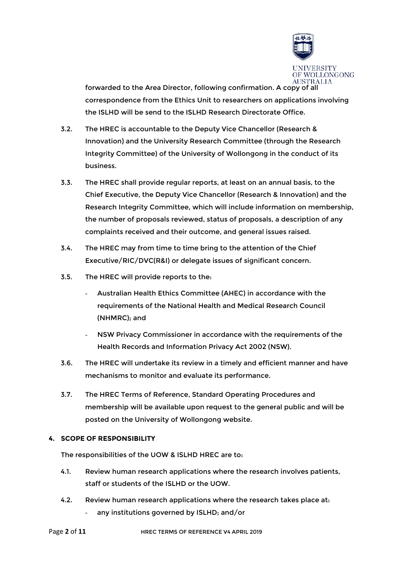

forwarded to the Area Director, following confirmation. A copy of all correspondence from the Ethics Unit to researchers on applications involving the ISLHD will be send to the ISLHD Research Directorate Office.

- 3.2. The HREC is accountable to the Deputy Vice Chancellor (Research & Innovation) and the University Research Committee (through the Research Integrity Committee) of the University of Wollongong in the conduct of its business.
- 3.3. The HREC shall provide regular reports, at least on an annual basis, to the Chief Executive, the Deputy Vice Chancellor (Research & Innovation) and the Research Integrity Committee, which will include information on membership, the number of proposals reviewed, status of proposals, a description of any complaints received and their outcome, and general issues raised.
- 3.4. The HREC may from time to time bring to the attention of the Chief Executive/RIC/DVC(R&I) or delegate issues of significant concern.
- 3.5. The HREC will provide reports to the:
	- Australian Health Ethics Committee (AHEC) in accordance with the requirements of the National Health and Medical Research Council (NHMRC); and
	- NSW Privacy Commissioner in accordance with the requirements of the Health Records and Information Privacy Act 2002 (NSW).
- 3.6. The HREC will undertake its review in a timely and efficient manner and have mechanisms to monitor and evaluate its performance.
- 3.7. The HREC Terms of Reference, Standard Operating Procedures and membership will be available upon request to the general public and will be posted on the University of Wollongong website.

# **4. SCOPE OF RESPONSIBILITY**

The responsibilities of the UOW & ISLHD HREC are to:

- 4.1. Review human research applications where the research involves patients, staff or students of the ISLHD or the UOW.
- 4.2. Review human research applications where the research takes place at: any institutions governed by ISLHD; and/or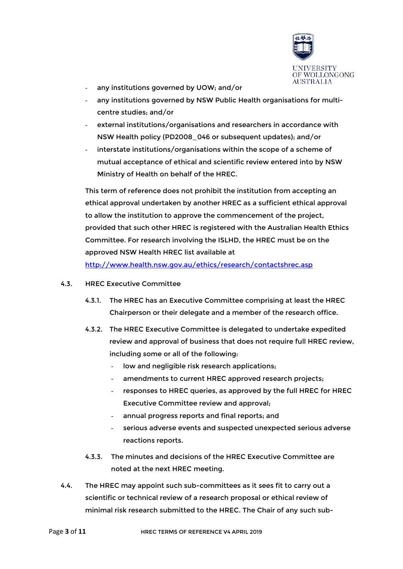

- any institutions governed by UOW; and/or
- any institutions governed by NSW Public Health organisations for multicentre studies; and/or
- external institutions/organisations and researchers in accordance with NSW Health policy (PD2008\_046 or subsequent updates); and/or
- interstate institutions/organisations within the scope of a scheme of mutual acceptance of ethical and scientific review entered into by NSW Ministry of Health on behalf of the HREC.

This term of reference does not prohibit the institution from accepting an ethical approval undertaken by another HREC as a sufficient ethical approval to allow the institution to approve the commencement of the project, provided that such other HREC is registered with the Australian Health Ethics Committee. For research involving the ISLHD, the HREC must be on the approved NSW Health HREC list available at <http://www.health.nsw.gov.au/ethics/research/contactshrec.asp>

- 4.3. HREC Executive Committee
	- 4.3.1. The HREC has an Executive Committee comprising at least the HREC Chairperson or their delegate and a member of the research office.
	- 4.3.2. The HREC Executive Committee is delegated to undertake expedited review and approval of business that does not require full HREC review, including some or all of the following:
		- low and negligible risk research applications;
		- amendments to current HREC approved research projects;
		- responses to HREC queries, as approved by the full HREC for HREC Executive Committee review and approval;
		- annual progress reports and final reports; and
		- serious adverse events and suspected unexpected serious adverse reactions reports.
	- 4.3.3. The minutes and decisions of the HREC Executive Committee are noted at the next HREC meeting.
- 4.4. The HREC may appoint such sub-committees as it sees fit to carry out a scientific or technical review of a research proposal or ethical review of minimal risk research submitted to the HREC. The Chair of any such sub-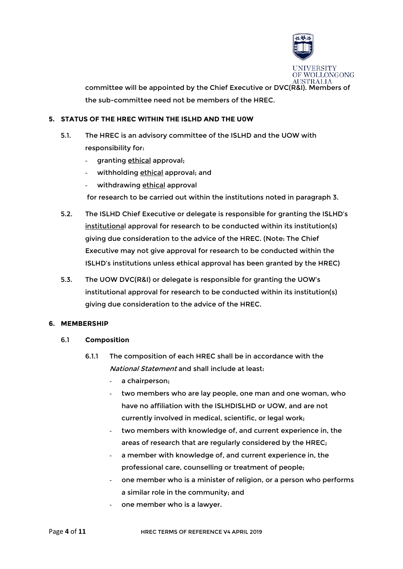

committee will be appointed by the Chief Executive or DVC(R&I). Members of the sub-committee need not be members of the HREC.

# **5. STATUS OF THE HREC WITHIN THE ISLHD AND THE U0W**

- 5.1. The HREC is an advisory committee of the ISLHD and the UOW with responsibility for:
	- granting ethical approval;
	- withholding ethical approval; and
	- withdrawing ethical approval

for research to be carried out within the institutions noted in paragraph 3.

- 5.2. The ISLHD Chief Executive or delegate is responsible for granting the ISLHD's institutional approval for research to be conducted within its institution(s) giving due consideration to the advice of the HREC. (Note: The Chief Executive may not give approval for research to be conducted within the ISLHD's institutions unless ethical approval has been granted by the HREC)
- 5.3. The UOW DVC(R&I) or delegate is responsible for granting the UOW's institutional approval for research to be conducted within its institution(s) giving due consideration to the advice of the HREC.

# **6. MEMBERSHIP**

- 6.1 **Composition**
	- 6.1.1 The composition of each HREC shall be in accordance with the National Statement and shall include at least:
		- a chairperson:
		- two members who are lay people, one man and one woman, who have no affiliation with the ISLHDISLHD or UOW, and are not currently involved in medical, scientific, or legal work;
		- two members with knowledge of, and current experience in, the areas of research that are regularly considered by the HREC;
		- a member with knowledge of, and current experience in, the professional care, counselling or treatment of people;
		- one member who is a minister of religion, or a person who performs a similar role in the community; and
		- one member who is a lawyer.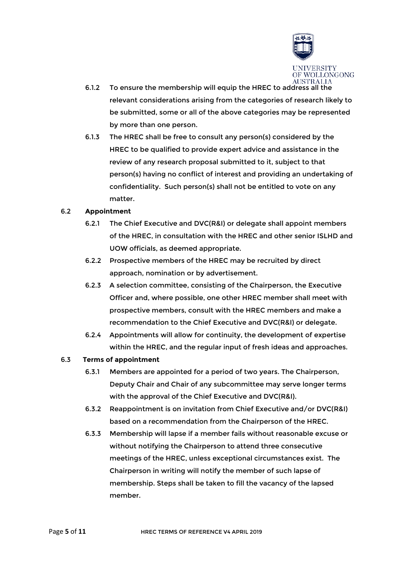

- 6.1.2 To ensure the membership will equip the HREC to address all the relevant considerations arising from the categories of research likely to be submitted, some or all of the above categories may be represented by more than one person.
- 6.1.3 The HREC shall be free to consult any person(s) considered by the HREC to be qualified to provide expert advice and assistance in the review of any research proposal submitted to it, subject to that person(s) having no conflict of interest and providing an undertaking of confidentiality. Such person(s) shall not be entitled to vote on any matter.

# 6.2 **Appointment**

- 6.2.1 The Chief Executive and DVC(R&I) or delegate shall appoint members of the HREC, in consultation with the HREC and other senior ISLHD and UOW officials, as deemed appropriate.
- 6.2.2 Prospective members of the HREC may be recruited by direct approach, nomination or by advertisement.
- 6.2.3 A selection committee, consisting of the Chairperson, the Executive Officer and, where possible, one other HREC member shall meet with prospective members, consult with the HREC members and make a recommendation to the Chief Executive and DVC(R&I) or delegate.
- 6.2.4 Appointments will allow for continuity, the development of expertise within the HREC, and the regular input of fresh ideas and approaches.

# 6.3 **Terms of appointment**

- 6.3.1 Members are appointed for a period of two years. The Chairperson, Deputy Chair and Chair of any subcommittee may serve longer terms with the approval of the Chief Executive and DVC(R&I).
- 6.3.2 Reappointment is on invitation from Chief Executive and/or DVC(R&I) based on a recommendation from the Chairperson of the HREC.
- 6.3.3 Membership will lapse if a member fails without reasonable excuse or without notifying the Chairperson to attend three consecutive meetings of the HREC, unless exceptional circumstances exist. The Chairperson in writing will notify the member of such lapse of membership. Steps shall be taken to fill the vacancy of the lapsed member.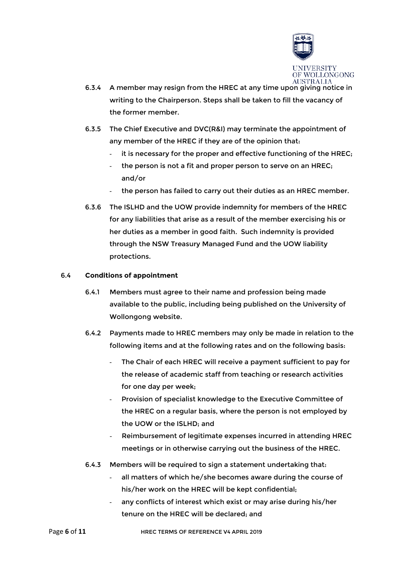

- 6.3.4 A member may resign from the HREC at any time upon giving notice in writing to the Chairperson. Steps shall be taken to fill the vacancy of the former member.
- 6.3.5 The Chief Executive and DVC(R&I) may terminate the appointment of any member of the HREC if they are of the opinion that:
	- it is necessary for the proper and effective functioning of the HREC;
	- the person is not a fit and proper person to serve on an HREC; and/or
	- the person has failed to carry out their duties as an HREC member.
- 6.3.6 The ISLHD and the UOW provide indemnity for members of the HREC for any liabilities that arise as a result of the member exercising his or her duties as a member in good faith. Such indemnity is provided through the NSW Treasury Managed Fund and the UOW liability protections.

#### 6.4 **Conditions of appointment**

- 6.4.1 Members must agree to their name and profession being made available to the public, including being published on the University of Wollongong website.
- 6.4.2 Payments made to HREC members may only be made in relation to the following items and at the following rates and on the following basis:
	- The Chair of each HREC will receive a payment sufficient to pay for the release of academic staff from teaching or research activities for one day per week;
	- Provision of specialist knowledge to the Executive Committee of the HREC on a regular basis, where the person is not employed by the UOW or the ISLHD; and
	- Reimbursement of legitimate expenses incurred in attending HREC meetings or in otherwise carrying out the business of the HREC.
- 6.4.3 Members will be required to sign a statement undertaking that:
	- all matters of which he/she becomes aware during the course of his/her work on the HREC will be kept confidential;
	- any conflicts of interest which exist or may arise during his/her tenure on the HREC will be declared; and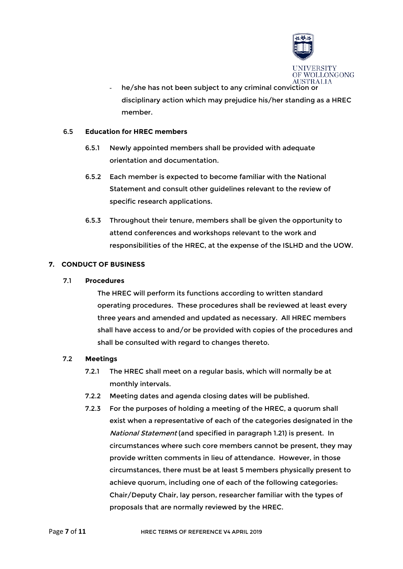

- he/she has not been subject to any criminal conviction or disciplinary action which may prejudice his/her standing as a HREC member.

### 6.5 **Education for HREC members**

- 6.5.1 Newly appointed members shall be provided with adequate orientation and documentation.
- 6.5.2 Each member is expected to become familiar with the National Statement and consult other guidelines relevant to the review of specific research applications.
- 6.5.3 Throughout their tenure, members shall be given the opportunity to attend conferences and workshops relevant to the work and responsibilities of the HREC, at the expense of the ISLHD and the UOW.

# **7. CONDUCT OF BUSINESS**

#### 7.1 **Procedures**

The HREC will perform its functions according to written standard operating procedures. These procedures shall be reviewed at least every three years and amended and updated as necessary. All HREC members shall have access to and/or be provided with copies of the procedures and shall be consulted with regard to changes thereto.

# 7.2 **Meetings**

- 7.2.1 The HREC shall meet on a regular basis, which will normally be at monthly intervals.
- 7.2.2 Meeting dates and agenda closing dates will be published.
- 7.2.3 For the purposes of holding a meeting of the HREC, a quorum shall exist when a representative of each of the categories designated in the National Statement (and specified in paragraph 1.21) is present. In circumstances where such core members cannot be present, they may provide written comments in lieu of attendance. However, in those circumstances, there must be at least 5 members physically present to achieve quorum, including one of each of the following categories: Chair/Deputy Chair, lay person, researcher familiar with the types of proposals that are normally reviewed by the HREC.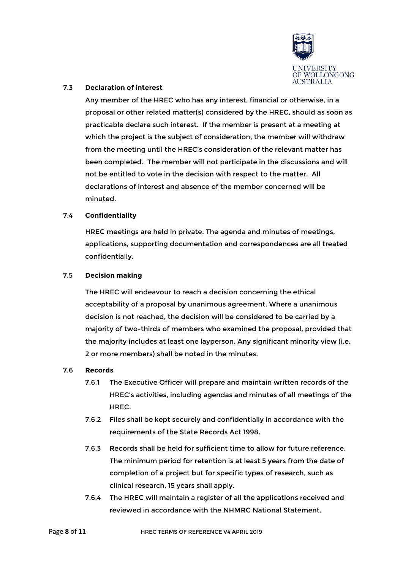

#### 7.3 **Declaration of interest**

Any member of the HREC who has any interest, financial or otherwise, in a proposal or other related matter(s) considered by the HREC, should as soon as practicable declare such interest. If the member is present at a meeting at which the project is the subject of consideration, the member will withdraw from the meeting until the HREC's consideration of the relevant matter has been completed. The member will not participate in the discussions and will not be entitled to vote in the decision with respect to the matter. All declarations of interest and absence of the member concerned will be minuted.

#### 7.4 **Confidentiality**

HREC meetings are held in private. The agenda and minutes of meetings, applications, supporting documentation and correspondences are all treated confidentially.

#### 7.5 **Decision making**

The HREC will endeavour to reach a decision concerning the ethical acceptability of a proposal by unanimous agreement. Where a unanimous decision is not reached, the decision will be considered to be carried by a majority of two-thirds of members who examined the proposal, provided that the majority includes at least one layperson. Any significant minority view (i.e. 2 or more members) shall be noted in the minutes.

#### 7.6 **Records**

- 7.6.1 The Executive Officer will prepare and maintain written records of the HREC's activities, including agendas and minutes of all meetings of the HREC.
- 7.6.2 Files shall be kept securely and confidentially in accordance with the requirements of the State Records Act 1998.
- 7.6.3 Records shall be held for sufficient time to allow for future reference. The minimum period for retention is at least 5 years from the date of completion of a project but for specific types of research, such as clinical research, 15 years shall apply.
- 7.6.4 The HREC will maintain a register of all the applications received and reviewed in accordance with the NHMRC National Statement.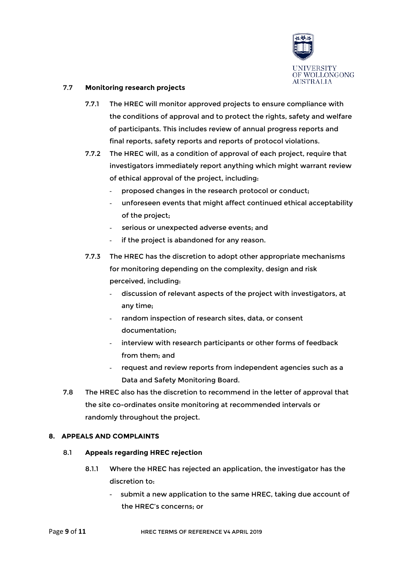

# 7.7 **Monitoring research projects**

- 7.7.1 The HREC will monitor approved projects to ensure compliance with the conditions of approval and to protect the rights, safety and welfare of participants. This includes review of annual progress reports and final reports, safety reports and reports of protocol violations.
- 7.7.2 The HREC will, as a condition of approval of each project, require that investigators immediately report anything which might warrant review of ethical approval of the project, including:
	- proposed changes in the research protocol or conduct;
	- unforeseen events that might affect continued ethical acceptability of the project;
	- serious or unexpected adverse events; and
	- if the project is abandoned for any reason.
- 7.7.3 The HREC has the discretion to adopt other appropriate mechanisms for monitoring depending on the complexity, design and risk perceived, including:
	- discussion of relevant aspects of the project with investigators, at any time;
	- random inspection of research sites, data, or consent documentation;
	- interview with research participants or other forms of feedback from them; and
	- request and review reports from independent agencies such as a Data and Safety Monitoring Board.
- 7.8 The HREC also has the discretion to recommend in the letter of approval that the site co-ordinates onsite monitoring at recommended intervals or randomly throughout the project.

#### **8. APPEALS AND COMPLAINTS**

#### 8.1 **Appeals regarding HREC rejection**

- 8.1.1 Where the HREC has rejected an application, the investigator has the discretion to:
	- submit a new application to the same HREC, taking due account of the HREC's concerns; or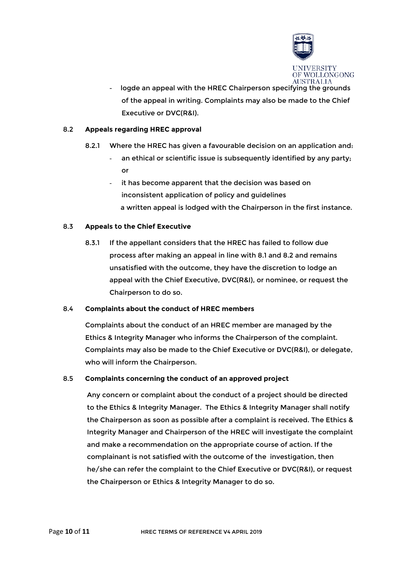

- logde an appeal with the HREC Chairperson specifying the grounds of the appeal in writing. Complaints may also be made to the Chief Executive or DVC(R&I).

### 8.2 **Appeals regarding HREC approval**

- 8.2.1 Where the HREC has given a favourable decision on an application and:
	- an ethical or scientific issue is subsequently identified by any party; or
	- it has become apparent that the decision was based on inconsistent application of policy and guidelines a written appeal is lodged with the Chairperson in the first instance.

#### 8.3 **Appeals to the Chief Executive**

8.3.1 If the appellant considers that the HREC has failed to follow due process after making an appeal in line with 8.1 and 8.2 and remains unsatisfied with the outcome, they have the discretion to lodge an appeal with the Chief Executive, DVC(R&I), or nominee, or request the Chairperson to do so.

#### 8.4 **Complaints about the conduct of HREC members**

Complaints about the conduct of an HREC member are managed by the Ethics & Integrity Manager who informs the Chairperson of the complaint. Complaints may also be made to the Chief Executive or DVC(R&I), or delegate, who will inform the Chairperson.

#### 8.5 **Complaints concerning the conduct of an approved project**

Any concern or complaint about the conduct of a project should be directed to the Ethics & Integrity Manager. The Ethics & Integrity Manager shall notify the Chairperson as soon as possible after a complaint is received. The Ethics & Integrity Manager and Chairperson of the HREC will investigate the complaint and make a recommendation on the appropriate course of action. If the complainant is not satisfied with the outcome of the investigation, then he/she can refer the complaint to the Chief Executive or DVC(R&I), or request the Chairperson or Ethics & Integrity Manager to do so.